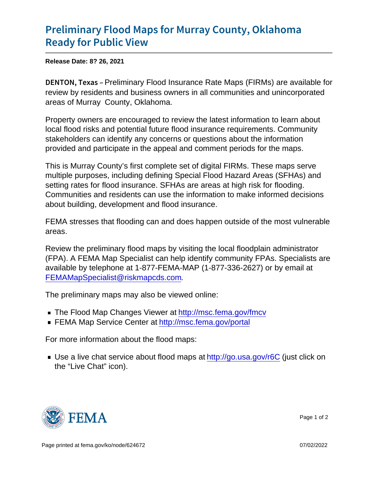## [Preliminary Flood Maps for Murr](https://www.fema.gov/press-release/20210828/preliminary-flood-maps-murray-county-oklahoma-ready-public-view)ay County [Ready for Pu](https://www.fema.gov/press-release/20210828/preliminary-flood-maps-murray-county-oklahoma-ready-public-view)blic View

Release Date: 8? 26, 2021

DENTON, Peekimainary Flood Insurance Rate Maps (FIRMs) are available for review by residents and business owners in all communities and unincorporated areas of Murray County, Oklahoma.

Property owners are encouraged to review the latest information to learn about local flood risks and potential future flood insurance requirements. Community stakeholders can identify any concerns or questions about the information provided and participate in the appeal and comment periods for the maps.

This is Murray County's first complete set of digital FIRMs. These maps serve multiple purposes, including defining Special Flood Hazard Areas (SFHAs) and setting rates for flood insurance. SFHAs are areas at high risk for flooding. Communities and residents can use the information to make informed decisions about building, development and flood insurance.

FEMA stresses that flooding can and does happen outside of the most vulnerable areas.

Review the preliminary flood maps by visiting the local floodplain administrator (FPA). A FEMA Map Specialist can help identify community FPAs. Specialists are available by telephone at 1-877-FEMA-MAP (1-877-336-2627) or by email at [FEMAMapSpecialist@riskmapcds.com](mailto:FEMAMapSpecialist@riskmapcds.com).

The preliminary maps may also be viewed online:

- The Flood Map Changes Viewer at<http://msc.fema.gov/fmcv>
- FEMA Map Service Center at<http://msc.fema.gov/portal>

For more information about the flood maps:

■ Use a live chat service about flood maps at<http://go.usa.gov/r6C> (just click on the "Live Chat" icon).



Page 1 of 2